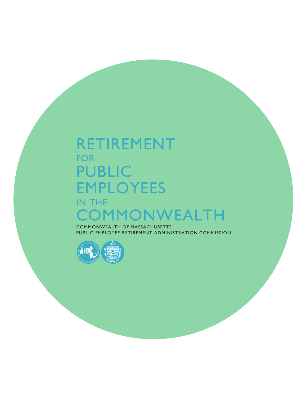# RETIREMENT FOR PUBLIC EMPLOYEES IN THE COMMONWEALTH

COMMONWEALTH OF MASSACHUSETTS PUBLIC EMPLOYEE RETIREMENT ADMINISTRATION COMMISSION

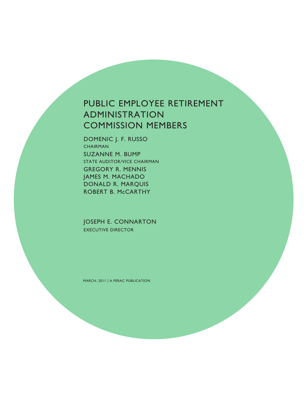# PUBLIC EMPLOYEE RETIREMENT ADMINISTRATION COMMISSION MEMBERS

DOMENIC J. F. RUSSO **CHAIRMAN** SUZANNE M. BUMP STATE AUDITOR/VICE CHAIRMAN GREGORY R. MENNIS JAMES M. MACHADO DONALD R. MARQUIS ROBERT B. McCARTHY

JOSEPH E. CONNARTON EXECUTIVE DIRECTOR

MARCH, 2011 | A PERAC PUBLICATION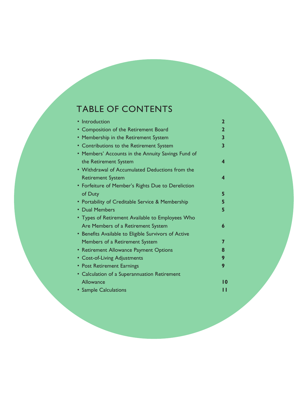# TABLE OF CONTENTS

| Introduction                                         | $\mathbf{2}$ |
|------------------------------------------------------|--------------|
| • Composition of the Retirement Board                | $\mathbf{2}$ |
| • Membership in the Retirement System                | 3            |
| • Contributions to the Retirement System             | 3            |
| • Members' Accounts in the Annuity Savings Fund of   |              |
| the Retirement System                                | 4            |
| • Withdrawal of Accumulated Deductions from the      |              |
| <b>Retirement System</b>                             | 4            |
| • Forfeiture of Member's Rights Due to Dereliction   |              |
| of Duty                                              | 5            |
| • Portability of Creditable Service & Membership     | 5            |
| • Dual Members                                       | 5            |
| • Types of Retirement Available to Employees Who     |              |
| Are Members of a Retirement System                   | 6            |
| • Benefits Available to Eligible Survivors of Active |              |
| Members of a Retirement System                       | 7            |
| • Retirement Allowance Payment Options               | 8            |
| • Cost-of-Living Adjustments                         | 9            |
| • Post Retirement Earnings                           | 9            |
| • Calculation of a Superannuation Retirement         |              |
| Allowance                                            | 10           |
| • Sample Calculations                                |              |
|                                                      |              |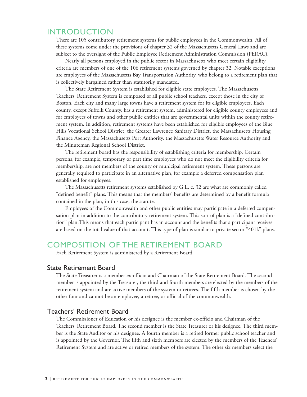### INTRODUCTION

There are 105 contributory retirement systems for public employees in the Commonwealth. All of these systems come under the provisions of chapter 32 of the Massachusetts General Laws and are subject to the oversight of the Public Employee Retirement Administration Commission (PERAC).

Nearly all persons employed in the public sector in Massachusetts who meet certain eligibility criteria are members of one of the 106 retirement systems governed by chapter 32. Notable exceptions are employees of the Massachusetts Bay Transportation Authority, who belong to a retirement plan that is collectively bargained rather than statutorily mandated.

The State Retirement System is established for eligible state employees. The Massachusetts Teachers' Retirement System is composed of all public school teachers, except those in the city of Boston. Each city and many large towns have a retirement system for its eligible employees. Each county, except Suffolk County, has a retirement system, administered for eligible county employees and for employees of towns and other public entities that are governmental units within the county retirement system. In addition, retirement systems have been established for eligible employees of the Blue Hills Vocational School District, the Greater Lawrence Sanitary District, the Massachusetts Housing Finance Agency, the Massachusetts Port Authority, the Massachusetts Water Resource Authority and the Minuteman Regional School District.

The retirement board has the responsibility of establishing criteria for membership. Certain persons, for example, temporary or part time employees who do not meet the eligibility criteria for membership, are not members of the county or municipal retirement system. These persons are generally required to participate in an alternative plan, for example a deferred compensation plan established for employees.

The Massachusetts retirement systems established by G.L. c. 32 are what are commonly called "defined benefit" plans. This means that the members' benefits are determined by a benefit formula contained in the plan, in this case, the statute.

Employees of the Commonwealth and other public entities may participate in a deferred compensation plan in addition to the contributory retirement system. This sort of plan is a "defined contribution" plan. This means that each participant has an account and the benefits that a participant receives are based on the total value of that account. This type of plan is similar to private sector "401k" plans.

### COMPOSITION OF THE RETIREMENT BOARD

Each Retirement System is administered by a Retirement Board.

#### State Retirement Board

The State Treasurer is a member ex-officio and Chairman of the State Retirement Board. The second member is appointed by the Treasurer, the third and fourth members are elected by the members of the retirement system and are active members of the system or retirees. The fifth member is chosen by the other four and cannot be an employee, a retiree, or official of the commonwealth.

#### Teachers' Retirement Board

The Commissioner of Education or his designee is the member ex-officio and Chairman of the Teachers' Retirement Board. The second member is the State Treasurer or his designee. The third member is the State Auditor or his designee. A fourth member is a retired former public school teacher and is appointed by the Governor. The fifth and sixth members are elected by the members of the Teachers' Retirement System and are active or retired members of the system. The other six members select the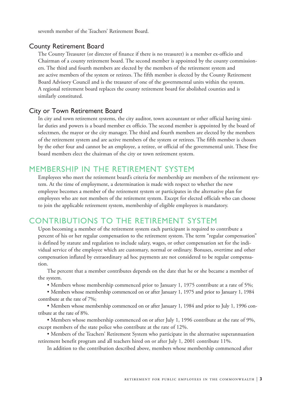seventh member of the Teachers' Retirement Board.

#### County Retirement Board

The County Treasurer (or director of finance if there is no treasurer) is a member ex-officio and Chairman of a county retirement board. The second member is appointed by the county commissioners. The third and fourth members are elected by the members of the retirement system and are active members of the system or retirees. The fifth member is elected by the County Retirement Board Advisory Council and is the treasurer of one of the governmental units within the system. A regional retirement board replaces the county retirement board for abolished counties and is similarly constituted.

#### City or Town Retirement Board

In city and town retirement systems, the city auditor, town accountant or other official having similar duties and powers is a board member ex officio. The second member is appointed by the board of selectmen, the mayor or the city manager. The third and fourth members are elected by the members of the retirement system and are active members of the system or retirees. The fifth member is chosen by the other four and cannot be an employee, a retiree, or official of the governmental unit. These five board members elect the chairman of the city or town retirement system.

## MEMBERSHIP IN THE RETIREMENT SYSTEM

Employees who meet the retirement board's criteria for membership are members of the retirement system. At the time of employment, a determination is made with respect to whether the new employee becomes a member of the retirement system or participates in the alternative plan for employees who are not members of the retirement system. Except for elected officials who can choose to join the applicable retirement system, membership of eligible employees is mandatory.

## CONTRIBUTIONS TO THE RETIREMENT SYSTEM

Upon becoming a member of the retirement system each participant is required to contribute a percent of his or her regular compensation to the retirement system. The term "regular compensation" is defined by statute and regulation to include salary, wages, or other compensation set for the individual service of the employee which are customary, normal or ordinary. Bonuses, overtime and other compensation inflated by extraordinary ad hoc payments are not considered to be regular compensation.

The percent that a member contributes depends on the date that he or she became a member of the system.

• Members whose membership commenced prior to January 1, 1975 contribute at a rate of 5%;

• Members whose membership commenced on or after January 1, 1975 and prior to January 1, 1984 contribute at the rate of 7%;

• Members whose membership commenced on or after January 1, 1984 and prior to July 1, 1996 contribute at the rate of 8%.

• Members whose membership commenced on or after July 1, 1996 contribute at the rate of 9%, except members of the state police who contribute at the rate of 12%.

• Members of the Teachers' Retirement System who participate in the alternative superannuation retirement benefit program and all teachers hired on or after July 1, 2001 contribute 11%.

In addition to the contribution described above, members whose membership commenced after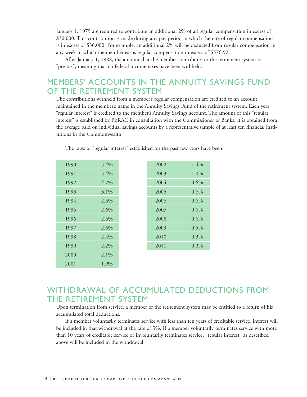January 1, 1979 are required to contribute an additional 2% of all regular compensation in excess of \$30,000. This contribution is made during any pay period in which the rate of regular compensation is in excess of \$30,000. For example, an additional 2% will be deducted from regular compensation in any week in which the member earns regular compensation in excess of \$576.92.

After January 1, 1988, the amount that the member contributes to the retirement system is "pre-tax", meaning that no federal income taxes have been withheld.

# MEMBERS' ACCOUNTS IN THE ANNUITY SAVINGS FUND OF THE RETIREMENT SYSTEM

The contributions withheld from a member's regular compensation are credited to an account maintained in the member's name in the Annuity Savings Fund of the retirement system. Each year "regular interest" is credited to the member's Annuity Savings account. The amount of this "regular interest" is established by PERAC in consultation with the Commissioner of Banks. It is obtained from the average paid on individual savings accounts by a representative sample of at least ten financial institutions in the Commonwealth.

| 1990 | 5.4%    |
|------|---------|
| 1991 | 5.4%    |
| 1992 | 4.7%    |
| 1993 | $3.1\%$ |
| 1994 | 2.5%    |
| 1995 | 2.6%    |
| 1996 | 2.5%    |
| 1997 | 2.5%    |
| 1998 | $2.4\%$ |
| 1999 | $2.2\%$ |
| 2000 | $2.1\%$ |
| 2001 | 1.9%    |
|      |         |

The rates of "regular interest" established for the past few years have been:

| 1990 | 5.4%    | 2002 | 1.4%    |
|------|---------|------|---------|
| 1991 | 5.4%    | 2003 | 1.0%    |
| 1992 | 4.7%    | 2004 | 0.6%    |
| 1993 | $3.1\%$ | 2005 | 0.6%    |
| 1994 | 2.5%    | 2006 | 0.6%    |
| 1995 | 2.6%    | 2007 | 0.6%    |
| 1996 | 2.5%    | 2008 | 0.6%    |
| 1997 | 2.5%    | 2009 | $0.5\%$ |
| 1998 | 2.4%    | 2010 | 0.3%    |
| 1999 | 2.2%    | 2011 | $0.2\%$ |
|      |         |      |         |

# WITHDRAWAL OF ACCUMULATED DEDUCTIONS FROM THE RETIREMENT SYSTEM

Upon termination from service, a member of the retirement system may be entitled to a return of his accumulated total deductions.

If a member voluntarily terminates service with less than ten years of creditable service, interest will be included in that withdrawal at the rate of 3%. If a member voluntarily terminates service with more than 10 years of creditable service or involuntarily terminates service, "regular interest" as described above will be included in the withdrawal.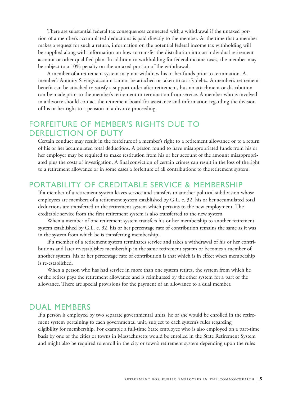There are substantial federal tax consequences connected with a withdrawal if the untaxed portion of a member's accumulated deductions is paid directly to the member. At the time that a member makes a request for such a return, information on the potential federal income tax withholding will be supplied along with information on how to transfer the distribution into an individual retirement account or other qualified plan. In addition to withholding for federal income taxes, the member may be subject to a 10% penalty on the untaxed portion of the withdrawal.

A member of a retirement system may not withdraw his or her funds prior to termination. A member's Annuity Savings account cannot be attached or taken to satisfy debts. A member's retirement benefit can be attached to satisfy a support order after retirement, but no attachment or distribution can be made prior to the member's retirement or termination from service. A member who is involved in a divorce should contact the retirement board for assistance and information regarding the division of his or her right to a pension in a divorce proceeding.

# FORFEITURE OF MEMBER'S RIGHTS DUE TO DERELICTION OF DUTY

Certain conduct may result in the forfeiture of a member's right to a retirement allowance or to a return of his or her accumulated total deductions. A person found to have misappropriated funds from his or her employer may be required to make restitution from his or her account of the amount misappropriated plus the costs of investigation. A final conviction of certain crimes can result in the loss of the right to a retirement allowance or in some cases a forfeiture of all contributions to the retirement system.

### PORTABILITY OF CREDITABLE SERVICE & MEMBERSHIP

If a member of a retirement system leaves service and transfers to another political subdivision whose employees are members of a retirement system established by G.L. c. 32, his or her accumulated total deductions are transferred to the retirement system which pertains to the new employment. The creditable service from the first retirement system is also transferred to the new system.

When a member of one retirement system transfers his or her membership to another retirement system established by G.L. c. 32, his or her percentage rate of contribution remains the same as it was in the system from which he is transferring membership.

If a member of a retirement system terminates service and takes a withdrawal of his or her contributions and later re-establishes membership in the same retirement system or becomes a member of another system, his or her percentage rate of contribution is that which is in effect when membership is re-established.

When a person who has had service in more than one system retires, the system from which he or she retires pays the retirement allowance and is reimbursed by the other system for a part of the allowance. There are special provisions for the payment of an allowance to a dual member.

### DUAL MEMBERS

If a person is employed by two separate governmental units, he or she would be enrolled in the retirement system pertaining to each governmental unit, subject to each system's rules regarding eligibility for membership. For example a full-time State employee who is also employed on a part-time basis by one of the cities or towns in Massachusetts would be enrolled in the State Retirement System and might also be required to enroll in the city or town's retirement system depending upon the rules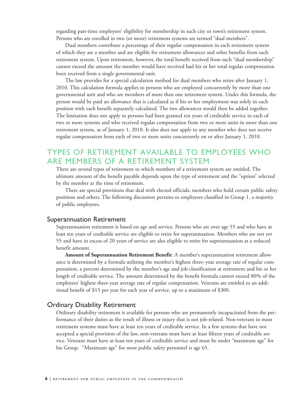regarding part-time employees' eligibility for membership in such city or town's retirement system. Persons who are enrolled in two (or more) retirement systems are termed "dual members".

Dual members contribute a percentage of their regular compensation in each retirement system of which they are a member and are eligible for retirement allowances and other benefits from each retirement system. Upon retirement, however, the total benefit received from such "dual membership" cannot exceed the amount the member would have received had his or her total regular compensation been received from a single governmental unit.

The law provides for a special calculation method for dual members who retire after January 1, 2010. This calculation formula applies to persons who are employed concurrently by more than one governmental unit and who are members of more than one retirement system. Under this formula, the person would be paid an allowance that is calculated as if his or her employment was solely in each position with each benefit separately calculated. The two allowances would then be added together. The limitation does not apply to persons had been granted ten years of creditable service in each of two or more systems and who received regular compensation from two or more units in more than one retirement system, as of January 1, 2010. It also does not apply to any member who does not receive regular compensation from each of two or more units concurrently on or after January 1, 2010.

# TYPES OF RETIREMENT AVAILABLE TO EMPLOYEES WHO ARE MEMBERS OF A RETIREMENT SYSTEM

There are several types of retirement to which members of a retirement system are entitled. The ultimate amount of the benefit payable depends upon the type of retirement and the "option" selected by the member at the time of retirement.

There are special provisions that deal with elected officials, members who hold certain public safety positions and others. The following discussion pertains to employees classified in Group 1, a majority of public employees.

#### Superannuation Retirement

Superannuation retirement is based on age and service. Persons who are over age 55 and who have at least ten years of creditable service are eligible to retire for superannuation. Members who are not yet 55 and have in excess of 20 years of service are also eligible to retire for superannuation at a reduced benefit amount.

**Amount of Superannuation Retirement Benefit**: A member's superannuation retirement allowance is determined by a formula utilizing the member's highest three–year average rate of regular compensation, a percent determined by the member's age and job classification at retirement and his or her length of creditable service. The amount determined by the benefit formula cannot exceed 80% of the employees' highest three-year average rate of regular compensation. Veterans are entitled to an additional benefit of \$15 per year for each year of service, up to a maximum of \$300.

#### Ordinary Disability Retirement

Ordinary disability retirement is available for persons who are permanently incapacitated from the performance of their duties as the result of illness or injury that is not job-related. Non-veterans in most retirement systems must have at least ten years of creditable service. In a few systems that have not accepted a special provision of the law, non-veterans must have at least fifteen years of creditable service. Veterans must have at least ten years of creditable service and must be under "maximum age" for his Group. "Maximum age" for most public safety personnel is age 65.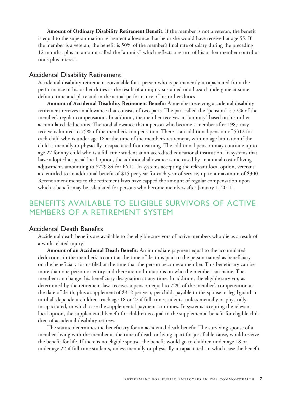**Amount of Ordinary Disability Retirement Benefit**: If the member is not a veteran, the benefit is equal to the superannuation retirement allowance that he or she would have received at age 55. If the member is a veteran, the benefit is 50% of the member's final rate of salary during the preceding 12 months, plus an amount called the "annuity" which reflects a return of his or her member contributions plus interest.

#### Accidental Disability Retirement

Accidental disability retirement is available for a person who is permanently incapacitated from the performance of his or her duties as the result of an injury sustained or a hazard undergone at some definite time and place and in the actual performance of his or her duties.

**Amount of Accidental Disability Retirement Benefit**: A member receiving accidental disability retirement receives an allowance that consists of two parts. The part called the "pension" is 72% of the member's regular compensation. In addition, the member receives an "annuity" based on his or her accumulated deductions. The total allowance that a person who became a member after 1987 may receive is limited to 75% of the member's compensation. There is an additional pension of \$312 for each child who is under age 18 at the time of the member's retirement, with no age limitation if the child is mentally or physically incapacitated from earning. The additional pension may continue up to age 22 for any child who is a full time student at an accredited educational institution. In systems that have adopted a special local option, the additional allowance is increased by an annual cost of living adjustment, amounting to \$729.84 for FY11. In systems accepting the relevant local option, veterans are entitled to an additional benefit of \$15 per year for each year of service, up to a maximum of \$300. Recent amendments to the retirement laws have capped the amount of regular compensation upon which a benefit may be calculated for persons who become members after January 1, 2011.

# BENEFITS AVAILABLE TO ELIGIBLE SURVIVORS OF ACTIVE MEMBERS OF A RETIREMENT SYSTEM

#### Accidental Death Benefits

Accidental death benefits are available to the eligible survivors of active members who die as a result of a work-related injury.

**Amount of an Accidental Death Benefit**: An immediate payment equal to the accumulated deductions in the member's account at the time of death is paid to the person named as beneficiary on the beneficiary forms filed at the time that the person becomes a member. This beneficiary can be more than one person or entity and there are no limitations on who the member can name. The member can change this beneficiary designation at any time. In addition, the eligible survivor, as determined by the retirement law, receives a pension equal to 72% of the member's compensation at the date of death, plus a supplement of \$312 per year, per child, payable to the spouse or legal guardian until all dependent children reach age 18 or 22 if full–time students, unless mentally or physically incapacitated, in which case the supplemental payment continues. In systems accepting the relevant local option, the supplemental benefit for children is equal to the supplemental benefit for eligible children of accidental disability retirees.

The statute determines the beneficiary for an accidental death benefit. The surviving spouse of a member, living with the member at the time of death or living apart for justifiable cause, would receive the benefit for life. If there is no eligible spouse, the benefit would go to children under age 18 or under age 22 if full-time students, unless mentally or physically incapacitated, in which case the benefit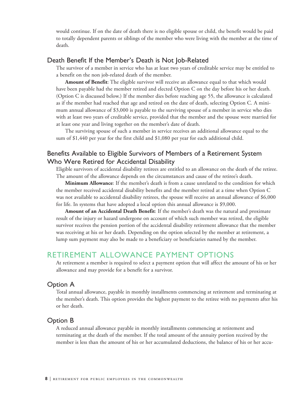would continue. If on the date of death there is no eligible spouse or child, the benefit would be paid to totally dependent parents or siblings of the member who were living with the member at the time of death.

#### Death Benefit If the Member's Death is Not Job-Related

The survivor of a member in service who has at least two years of creditable service may be entitled to a benefit on the non job-related death of the member.

**Amount of Benefit**: The eligible survivor will receive an allowance equal to that which would have been payable had the member retired and elected Option C on the day before his or her death. (Option C is discussed below.) If the member dies before reaching age 55, the allowance is calculated as if the member had reached that age and retired on the date of death, selecting Option C. A minimum annual allowance of \$3,000 is payable to the surviving spouse of a member in service who dies with at least two years of creditable service, provided that the member and the spouse were married for at least one year and living together on the member's date of death.

The surviving spouse of such a member in service receives an additional allowance equal to the sum of \$1,440 per year for the first child and \$1,080 per year for each additional child.

### Benefits Available to Eligible Survivors of Members of a Retirement System Who Were Retired for Accidental Disability

Eligible survivors of accidental disability retirees are entitled to an allowance on the death of the retiree. The amount of the allowance depends on the circumstances and cause of the retiree's death.

**Minimum Allowance**: If the member's death is from a cause unrelated to the condition for which the member received accidental disability benefits and the member retired at a time when Option C was not available to accidental disability retirees, the spouse will receive an annual allowance of \$6,000 for life. In systems that have adopted a local option this annual allowance is \$9,000.

**Amount of an Accidental Death Benefit**: If the member's death was the natural and proximate result of the injury or hazard undergone on account of which such member was retired, the eligible survivor receives the pension portion of the accidental disability retirement allowance that the member was receiving at his or her death. Depending on the option selected by the member at retirement, a lump sum payment may also be made to a beneficiary or beneficiaries named by the member.

## RETIREMENT ALLOWANCE PAYMENT OPTIONS

At retirement a member is required to select a payment option that will affect the amount of his or her allowance and may provide for a benefit for a survivor.

#### Option A

Total annual allowance, payable in monthly installments commencing at retirement and terminating at the member's death. This option provides the highest payment to the retiree with no payments after his or her death.

#### Option B

A reduced annual allowance payable in monthly installments commencing at retirement and terminating at the death of the member. If the total amount of the annuity portion received by the member is less than the amount of his or her accumulated deductions, the balance of his or her accu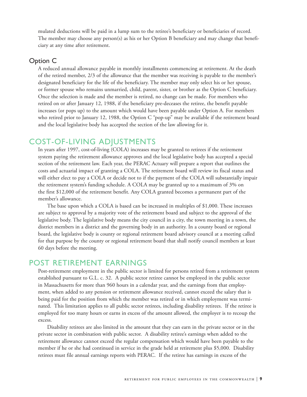mulated deductions will be paid in a lump sum to the retiree's beneficiary or beneficiaries of record. The member may choose any person(s) as his or her Option B beneficiary and may change that beneficiary at any time after retirement.

#### Option C

A reduced annual allowance payable in monthly installments commencing at retirement. At the death of the retired member, 2/3 of the allowance that the member was receiving is payable to the member's designated beneficiary for the life of the beneficiary. The member may only select his or her spouse, or former spouse who remains unmarried, child, parent, sister, or brother as the Option C beneficiary. Once the selection is made and the member is retired, no change can be made. For members who retired on or after January 12, 1988, if the beneficiary pre-deceases the retiree, the benefit payable increases (or pops up) to the amount which would have been payable under Option A. For members who retired prior to January 12, 1988, the Option C "pop-up" may be available if the retirement board and the local legislative body has accepted the section of the law allowing for it.

## COST-OF-LIVING ADJUSTMENTS

In years after 1997, cost-of-living (COLA) increases may be granted to retirees if the retirement system paying the retirement allowance approves and the local legislative body has accepted a special section of the retirement law. Each year, the PERAC Actuary will prepare a report that outlines the costs and actuarial impact of granting a COLA. The retirement board will review its fiscal status and will either elect to pay a COLA or decide not to if the payment of the COLA will substantially impair the retirement system's funding schedule. A COLA may be granted up to a maximum of 3% on the first \$12,000 of the retirement benefit. Any COLA granted becomes a permanent part of the member's allowance.

The base upon which a COLA is based can be increased in multiples of \$1,000. These increases are subject to approval by a majority vote of the retirement board and subject to the approval of the legislative body. The legislative body means the city council in a city, the town meeting in a town, the district members in a district and the governing body in an authority. In a county board or regional board, the legislative body is county or regional retirement board advisory council at a meeting called for that purpose by the county or regional retirement board that shall notify council members at least 60 days before the meeting.

### POST RETIREMENT EARNINGS

Post-retirement employment in the public sector is limited for persons retired from a retirement system established pursuant to G.L. c. 32. A public sector retiree cannot be employed in the public sector in Massachusetts for more than 960 hours in a calendar year, and the earnings from that employment, when added to any pension or retirement allowance received, cannot exceed the salary that is being paid for the position from which the member was retired or in which employment was terminated. This limitation applies to all public sector retirees, including disability retirees. If the retiree is employed for too many hours or earns in excess of the amount allowed, the employer is to recoup the excess.

Disability retirees are also limited in the amount that they can earn in the private sector or in the private sector in combination with public sector. A disability retiree's earnings when added to the retirement allowance cannot exceed the regular compensation which would have been payable to the member if he or she had continued in service in the grade held at retirement plus \$5,000. Disability retirees must file annual earnings reports with PERAC. If the retiree has earnings in excess of the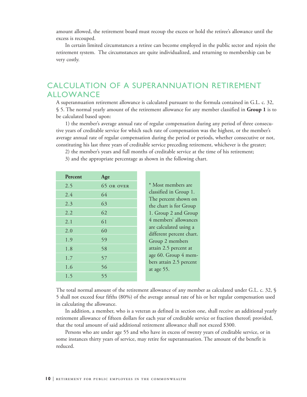amount allowed, the retirement board must recoup the excess or hold the retiree's allowance until the excess is recouped.

In certain limited circumstances a retiree can become employed in the public sector and rejoin the retirement system. The circumstances are quite individualized, and returning to membership can be very costly.

# CALCULATION OF A SUPERANNUATION RETIREMENT ALLOWANCE

A superannuation retirement allowance is calculated pursuant to the formula contained in G.L. c. 32, § 5. The normal yearly amount of the retirement allowance for any member classified in **Group 1** is to be calculated based upon:

1) the member's average annual rate of regular compensation during any period of three consecutive years of creditable service for which such rate of compensation was the highest, or the member's average annual rate of regular compensation during the period or periods, whether consecutive or not, constituting his last three years of creditable service preceding retirement, whichever is the greater;

2) the member's years and full months of creditable service at the time of his retirement;

| Percent | Age        |
|---------|------------|
| 2.5     | 65 OR OVER |
| 2.4     | 64         |
| 2.3     | 63         |
| 2.2     | 62         |
| 2.1     | 61         |
| 2.0     | 60         |
| 1.9     | 59         |
| 1.8     | 58         |
| 1.7     | 57         |
| 1.6     | 56         |
| 1.5     | 55         |
|         |            |

3) and the appropriate percentage as shown in the following chart.

The total normal amount of the retirement allowance of any member as calculated under G.L. c. 32, § 5 shall not exceed four fifths (80%) of the average annual rate of his or her regular compensation used in calculating the allowance.

In addition, a member, who is a veteran as defined in section one, shall receive an additional yearly retirement allowance of fifteen dollars for each year of creditable service or fraction thereof; provided, that the total amount of said additional retirement allowance shall not exceed \$300.

Persons who are under age 55 and who have in excess of twenty years of creditable service, or in some instances thirty years of service, may retire for superannuation. The amount of the benefit is reduced.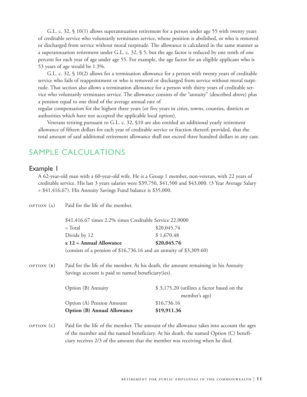G.L. c. 32, § 10(1) allows superannuation retirement for a person under age 55 with twenty years of creditable service who voluntarily terminates service, whose position is abolished, or who is removed or discharged from service without moral turpitude. The allowance is calculated in the same manner as a superannuation retirement under G.L. c. 32, § 5, but the age factor is reduced by one tenth of one percent for each year of age under age 55. For example, the age factor for an eligible applicant who is 53 years of age would be 1.3%.

G.L. c. 32, § 10(2) allows for a termination allowance for a person with twenty years of creditable service who fails of reappointment or who is removed or discharged from service without moral turpitude. That section also allows a termination allowance for a person with thirty years of creditable service who voluntarily terminates service. The allowance consists of the "annuity" (described above) plus a pension equal to one third of the average annual rate of regular compensation for the highest three years (or five years in cities, towns, counties, districts or

authorities which have not accepted the applicable local option).

Veterans retiring pursuant to G.L. c. 32, §10 are also entitled an additional yearly retirement allowance of fifteen dollars for each year of creditable service or fraction thereof; provided, that the total amount of said additional retirement allowance shall not exceed three hundred dollars in any case.

# SAMPLE CALCULATIONS

### Example 1

A 62-year-old man with a 60-year-old wife. He is a Group 1 member, non-veteran, with 22 years of creditable service. His last 3 years salaries were \$39,750, \$41,500 and \$43,000. (3 Year Average Salary  $= $41,416.67$ . His Annuity Savings Fund balance is \$35,000.

| OPTION (A) | Paid for the life of the member.                                                                                                                                                |                                                             |  |
|------------|---------------------------------------------------------------------------------------------------------------------------------------------------------------------------------|-------------------------------------------------------------|--|
|            | \$41,416.67 times 2.2% times Creditable Service 22.0000                                                                                                                         |                                                             |  |
|            | $=$ Total                                                                                                                                                                       | \$20,045.74                                                 |  |
|            | Divide by 12                                                                                                                                                                    | \$1,670.48                                                  |  |
|            | $x 12$ = Annual Allowance                                                                                                                                                       | \$20,045.76                                                 |  |
|            | (consists of a pension of $$16,736.16$ and an annuity of $$3,309.60$ )                                                                                                          |                                                             |  |
| OPTION (B) | Paid for the life of the member. At his death, the amount remaining in his Annuity<br>Savings account is paid to named beneficiary (ies).                                       |                                                             |  |
|            | Option (B) Annuity                                                                                                                                                              | \$3,175.20 (utilizes a factor based on the<br>member's age) |  |
|            | Option (A) Pension Amount                                                                                                                                                       | \$16,736.16                                                 |  |
|            | <b>Option (B) Annual Allowance</b>                                                                                                                                              | \$19,911.36                                                 |  |
| OPTION(C)  | Paid for the life of the member. The amount of the allowance takes into account the ages<br>of the member and the named beneficiary. At his death, the named Option (C) benefi- |                                                             |  |

ciary receives 2/3 of the amount that the member was receiving when he died.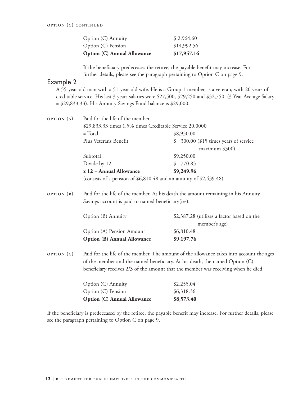| <b>Option (C) Annual Allowance</b> | \$17,957.16 |
|------------------------------------|-------------|
| Option (C) Pension                 | \$14,992.56 |
| Option (C) Annuity                 | \$2,964.60  |

If the beneficiary predeceases the retiree, the payable benefit may increase. For further details, please see the paragraph pertaining to Option C on page 9.

### Example 2

A 55-year-old man with a 51-year-old wife. He is a Group 1 member, is a veteran, with 20 years of creditable service. His last 3 years salaries were \$27,500, \$29,250 and \$32,750. (3 Year Average Salary = \$29,833.33). His Annuity Savings Fund balance is \$29,000.

| OPTION (A) | Paid for the life of the member.                                                   |                                                                                          |  |
|------------|------------------------------------------------------------------------------------|------------------------------------------------------------------------------------------|--|
|            | \$29,833.33 times 1.5% times Creditable Service 20.0000                            |                                                                                          |  |
|            | $=$ Total                                                                          | \$8,950.00                                                                               |  |
|            | Plus Veterans Benefit                                                              | \$ 300.00 (\$15 times years of service                                                   |  |
|            |                                                                                    | maximum \$300)                                                                           |  |
|            | Subtotal                                                                           | \$9,250.00                                                                               |  |
|            | Divide by 12                                                                       | 770.83<br>\$.                                                                            |  |
|            | $x 12$ = Annual Allowance                                                          | \$9,249.96                                                                               |  |
|            | (consists of a pension of \$6,810.48 and an annuity of \$2,439.48)                 |                                                                                          |  |
| OPTION (B) |                                                                                    | Paid for the life of the member. At his death the amount remaining in his Annuity        |  |
|            | Savings account is paid to named beneficiary (ies).                                |                                                                                          |  |
|            | Option (B) Annuity                                                                 | \$2,387.28 (utilizes a factor based on the<br>member's age)                              |  |
|            | Option (A) Pension Amount                                                          | \$6,810.48                                                                               |  |
|            | <b>Option (B) Annual Allowance</b>                                                 | \$9,197.76                                                                               |  |
| OPTION(C)  |                                                                                    | Paid for the life of the member. The amount of the allowance takes into account the ages |  |
|            | of the member and the named beneficiary. At his death, the named Option (C)        |                                                                                          |  |
|            | beneficiary receives 2/3 of the amount that the member was receiving when he died. |                                                                                          |  |
|            | Option (C) Annuity                                                                 | \$2,255.04                                                                               |  |
|            | Option (C) Pension                                                                 | \$6,318.36                                                                               |  |

If the beneficiary is predeceased by the retiree, the payable benefit may increase. For further details, please see the paragraph pertaining to Option C on page 9.

**Option (C) Annual Allowance \$8,573.40**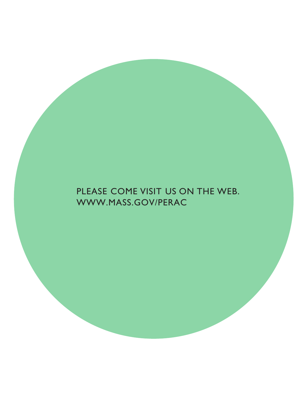# PLEASE COME VISIT US ON THE WEB. WWW.MASS.GOV/PERAC